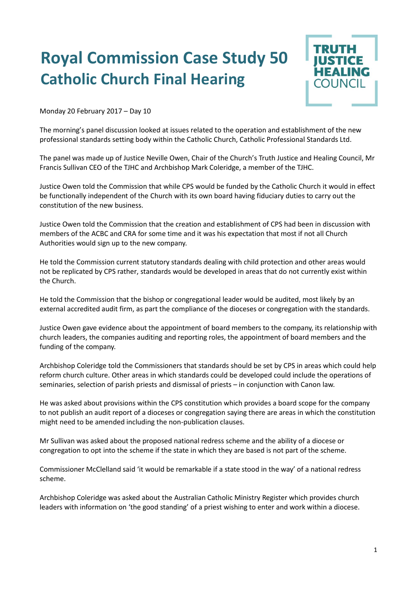## **Royal Commission Case Study 50 Catholic Church Final Hearing**



Monday 20 February 2017 – Day 10

The morning's panel discussion looked at issues related to the operation and establishment of the new professional standards setting body within the Catholic Church, Catholic Professional Standards Ltd.

The panel was made up of Justice Neville Owen, Chair of the Church's Truth Justice and Healing Council, Mr Francis Sullivan CEO of the TJHC and Archbishop Mark Coleridge, a member of the TJHC.

Justice Owen told the Commission that while CPS would be funded by the Catholic Church it would in effect be functionally independent of the Church with its own board having fiduciary duties to carry out the constitution of the new business.

Justice Owen told the Commission that the creation and establishment of CPS had been in discussion with members of the ACBC and CRA for some time and it was his expectation that most if not all Church Authorities would sign up to the new company.

He told the Commission current statutory standards dealing with child protection and other areas would not be replicated by CPS rather, standards would be developed in areas that do not currently exist within the Church.

He told the Commission that the bishop or congregational leader would be audited, most likely by an external accredited audit firm, as part the compliance of the dioceses or congregation with the standards.

Justice Owen gave evidence about the appointment of board members to the company, its relationship with church leaders, the companies auditing and reporting roles, the appointment of board members and the funding of the company.

Archbishop Coleridge told the Commissioners that standards should be set by CPS in areas which could help reform church culture. Other areas in which standards could be developed could include the operations of seminaries, selection of parish priests and dismissal of priests – in conjunction with Canon law.

He was asked about provisions within the CPS constitution which provides a board scope for the company to not publish an audit report of a dioceses or congregation saying there are areas in which the constitution might need to be amended including the non-publication clauses.

Mr Sullivan was asked about the proposed national redress scheme and the ability of a diocese or congregation to opt into the scheme if the state in which they are based is not part of the scheme.

Commissioner McClelland said 'it would be remarkable if a state stood in the way' of a national redress scheme.

Archbishop Coleridge was asked about the Australian Catholic Ministry Register which provides church leaders with information on 'the good standing' of a priest wishing to enter and work within a diocese.